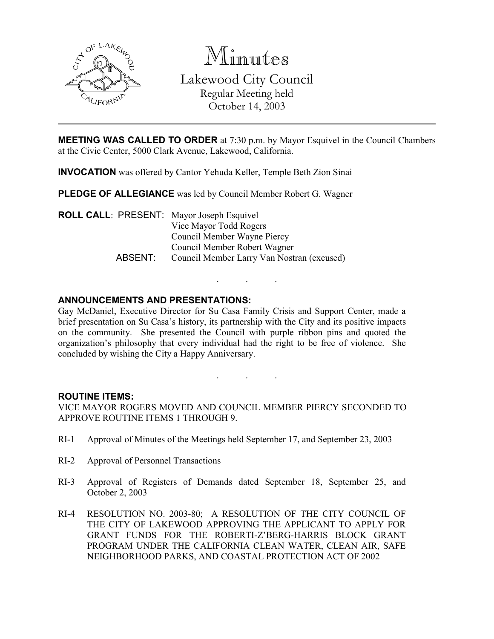

Minutes Lakewood City Council Regular Meeting held October 14, 2003

**MEETING WAS CALLED TO ORDER** at 7:30 p.m. by Mayor Esquivel in the Council Chambers at the Civic Center, 5000 Clark Avenue, Lakewood, California.

INVOCATION was offered by Cantor Yehuda Keller, Temple Beth Zion Sinai

PLEDGE OF ALLEGIANCE was led by Council Member Robert G. Wagner

ROLL CALL: PRESENT: Mayor Joseph Esquivel Vice Mayor Todd Rogers Council Member Wayne Piercy Council Member Robert Wagner ABSENT: Council Member Larry Van Nostran (excused)

# ANNOUNCEMENTS AND PRESENTATIONS:

Gay McDaniel, Executive Director for Su Casa Family Crisis and Support Center, made a brief presentation on Su Casa's history, its partnership with the City and its positive impacts on the community. She presented the Council with purple ribbon pins and quoted the organization's philosophy that every individual had the right to be free of violence. She concluded by wishing the City a Happy Anniversary.

. . .

. . .

#### ROUTINE ITEMS:

VICE MAYOR ROGERS MOVED AND COUNCIL MEMBER PIERCY SECONDED TO APPROVE ROUTINE ITEMS 1 THROUGH 9.

- RI-1 Approval of Minutes of the Meetings held September 17, and September 23, 2003
- RI-2 Approval of Personnel Transactions
- RI-3 Approval of Registers of Demands dated September 18, September 25, and October 2, 2003
- RI-4 RESOLUTION NO. 2003-80; A RESOLUTION OF THE CITY COUNCIL OF THE CITY OF LAKEWOOD APPROVING THE APPLICANT TO APPLY FOR GRANT FUNDS FOR THE ROBERTI-Z'BERG-HARRIS BLOCK GRANT PROGRAM UNDER THE CALIFORNIA CLEAN WATER, CLEAN AIR, SAFE NEIGHBORHOOD PARKS, AND COASTAL PROTECTION ACT OF 2002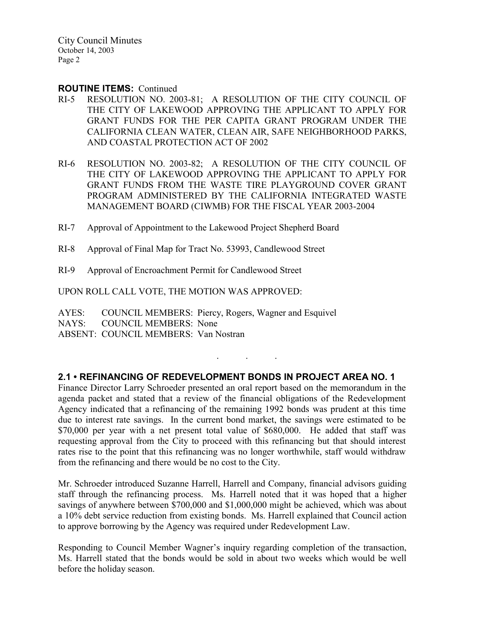City Council Minutes October 14, 2003 Page 2

### ROUTINE ITEMS: Continued

- RI-5 RESOLUTION NO. 2003-81; A RESOLUTION OF THE CITY COUNCIL OF THE CITY OF LAKEWOOD APPROVING THE APPLICANT TO APPLY FOR GRANT FUNDS FOR THE PER CAPITA GRANT PROGRAM UNDER THE CALIFORNIA CLEAN WATER, CLEAN AIR, SAFE NEIGHBORHOOD PARKS, AND COASTAL PROTECTION ACT OF 2002
- RI-6 RESOLUTION NO. 2003-82; A RESOLUTION OF THE CITY COUNCIL OF THE CITY OF LAKEWOOD APPROVING THE APPLICANT TO APPLY FOR GRANT FUNDS FROM THE WASTE TIRE PLAYGROUND COVER GRANT PROGRAM ADMINISTERED BY THE CALIFORNIA INTEGRATED WASTE MANAGEMENT BOARD (CIWMB) FOR THE FISCAL YEAR 2003-2004
- RI-7 Approval of Appointment to the Lakewood Project Shepherd Board
- RI-8 Approval of Final Map for Tract No. 53993, Candlewood Street
- RI-9 Approval of Encroachment Permit for Candlewood Street

UPON ROLL CALL VOTE, THE MOTION WAS APPROVED:

AYES: COUNCIL MEMBERS: Piercy, Rogers, Wagner and Esquivel NAYS: COUNCIL MEMBERS: None ABSENT: COUNCIL MEMBERS: Van Nostran

# 2.1 • REFINANCING OF REDEVELOPMENT BONDS IN PROJECT AREA NO. 1

. . .

Finance Director Larry Schroeder presented an oral report based on the memorandum in the agenda packet and stated that a review of the financial obligations of the Redevelopment Agency indicated that a refinancing of the remaining 1992 bonds was prudent at this time due to interest rate savings. In the current bond market, the savings were estimated to be \$70,000 per year with a net present total value of \$680,000. He added that staff was requesting approval from the City to proceed with this refinancing but that should interest rates rise to the point that this refinancing was no longer worthwhile, staff would withdraw from the refinancing and there would be no cost to the City.

Mr. Schroeder introduced Suzanne Harrell, Harrell and Company, financial advisors guiding staff through the refinancing process. Ms. Harrell noted that it was hoped that a higher savings of anywhere between \$700,000 and \$1,000,000 might be achieved, which was about a 10% debt service reduction from existing bonds. Ms. Harrell explained that Council action to approve borrowing by the Agency was required under Redevelopment Law.

Responding to Council Member Wagner's inquiry regarding completion of the transaction, Ms. Harrell stated that the bonds would be sold in about two weeks which would be well before the holiday season.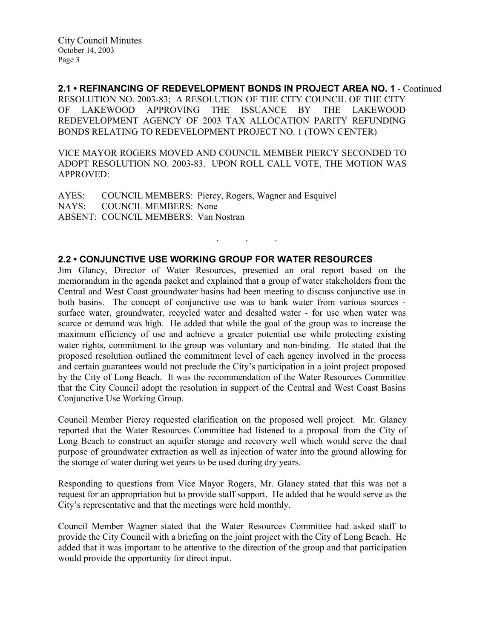2.1 • REFINANCING OF REDEVELOPMENT BONDS IN PROJECT AREA NO. 1 - Continued RESOLUTION NO. 2003-83; A RESOLUTION OF THE CITY COUNCIL OF THE CITY OF LAKEWOOD APPROVING THE ISSUANCE BY THE LAKEWOOD REDEVELOPMENT AGENCY OF 2003 TAX ALLOCATION PARITY REFUNDING BONDS RELATING TO REDEVELOPMENT PROJECT NO. 1 (TOWN CENTER)

VICE MAYOR ROGERS MOVED AND COUNCIL MEMBER PIERCY SECONDED TO ADOPT RESOLUTION NO. 2003-83. UPON ROLL CALL VOTE, THE MOTION WAS APPROVED:

. . .

AYES: COUNCIL MEMBERS: Piercy, Rogers, Wagner and Esquivel NAYS: COUNCIL MEMBERS: None ABSENT: COUNCIL MEMBERS: Van Nostran

# 2.2 • CONJUNCTIVE USE WORKING GROUP FOR WATER RESOURCES

Jim Glancy, Director of Water Resources, presented an oral report based on the memorandum in the agenda packet and explained that a group of water stakeholders from the Central and West Coast groundwater basins had been meeting to discuss conjunctive use in both basins. The concept of conjunctive use was to bank water from various sources surface water, groundwater, recycled water and desalted water - for use when water was scarce or demand was high. He added that while the goal of the group was to increase the maximum efficiency of use and achieve a greater potential use while protecting existing water rights, commitment to the group was voluntary and non-binding. He stated that the proposed resolution outlined the commitment level of each agency involved in the process and certain guarantees would not preclude the City's participation in a joint project proposed by the City of Long Beach. It was the recommendation of the Water Resources Committee that the City Council adopt the resolution in support of the Central and West Coast Basins Conjunctive Use Working Group.

Council Member Piercy requested clarification on the proposed well project. Mr. Glancy reported that the Water Resources Committee had listened to a proposal from the City of Long Beach to construct an aquifer storage and recovery well which would serve the dual purpose of groundwater extraction as well as injection of water into the ground allowing for the storage of water during wet years to be used during dry years.

Responding to questions from Vice Mayor Rogers, Mr. Glancy stated that this was not a request for an appropriation but to provide staff support. He added that he would serve as the City's representative and that the meetings were held monthly.

Council Member Wagner stated that the Water Resources Committee had asked staff to provide the City Council with a briefing on the joint project with the City of Long Beach. He added that it was important to be attentive to the direction of the group and that participation would provide the opportunity for direct input.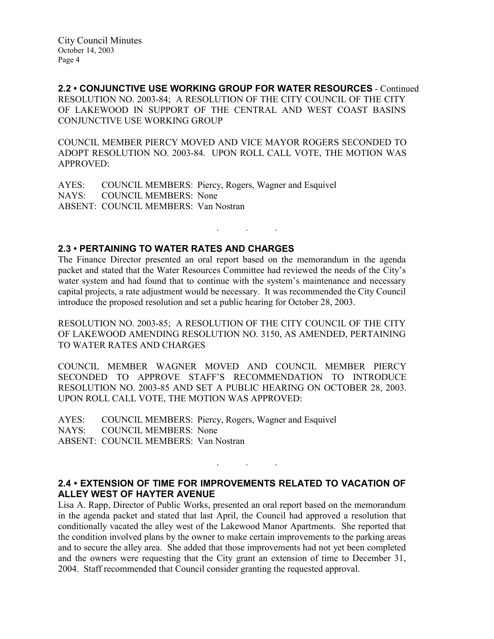2.2 • CONJUNCTIVE USE WORKING GROUP FOR WATER RESOURCES - Continued RESOLUTION NO. 2003-84; A RESOLUTION OF THE CITY COUNCIL OF THE CITY OF LAKEWOOD IN SUPPORT OF THE CENTRAL AND WEST COAST BASINS CONJUNCTIVE USE WORKING GROUP

COUNCIL MEMBER PIERCY MOVED AND VICE MAYOR ROGERS SECONDED TO ADOPT RESOLUTION NO. 2003-84. UPON ROLL CALL VOTE, THE MOTION WAS APPROVED:

AYES: COUNCIL MEMBERS: Piercy, Rogers, Wagner and Esquivel<br>NAYS: COUNCIL MEMBERS: None COUNCIL MEMBERS: None ABSENT: COUNCIL MEMBERS: Van Nostran

### 2.3 • PERTAINING TO WATER RATES AND CHARGES

The Finance Director presented an oral report based on the memorandum in the agenda packet and stated that the Water Resources Committee had reviewed the needs of the City's water system and had found that to continue with the system's maintenance and necessary capital projects, a rate adjustment would be necessary. It was recommended the City Council introduce the proposed resolution and set a public hearing for October 28, 2003.

. . .

RESOLUTION NO. 2003-85; A RESOLUTION OF THE CITY COUNCIL OF THE CITY OF LAKEWOOD AMENDING RESOLUTION NO. 3150, AS AMENDED, PERTAINING TO WATER RATES AND CHARGES

COUNCIL MEMBER WAGNER MOVED AND COUNCIL MEMBER PIERCY SECONDED TO APPROVE STAFF'S RECOMMENDATION TO INTRODUCE RESOLUTION NO. 2003-85 AND SET A PUBLIC HEARING ON OCTOBER 28, 2003. UPON ROLL CALL VOTE, THE MOTION WAS APPROVED:

AYES: COUNCIL MEMBERS: Piercy, Rogers, Wagner and Esquivel NAYS: COUNCIL MEMBERS: None ABSENT: COUNCIL MEMBERS: Van Nostran

2.4 • EXTENSION OF TIME FOR IMPROVEMENTS RELATED TO VACATION OF ALLEY WEST OF HAYTER AVENUE

. . .

Lisa A. Rapp, Director of Public Works, presented an oral report based on the memorandum in the agenda packet and stated that last April, the Council had approved a resolution that conditionally vacated the alley west of the Lakewood Manor Apartments. She reported that the condition involved plans by the owner to make certain improvements to the parking areas and to secure the alley area. She added that those improvements had not yet been completed and the owners were requesting that the City grant an extension of time to December 31, 2004. Staff recommended that Council consider granting the requested approval.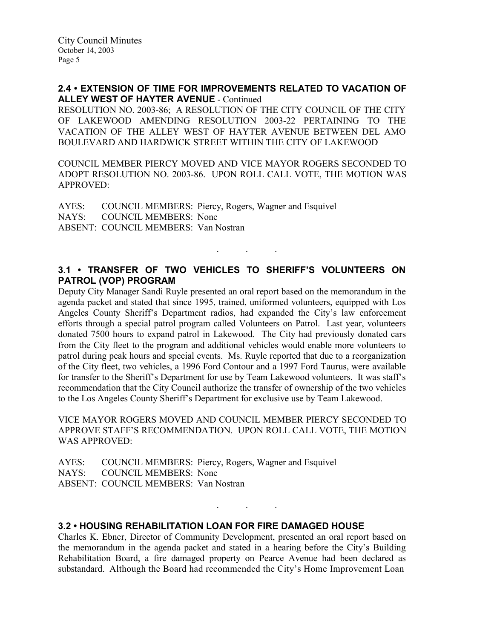# 2.4 • EXTENSION OF TIME FOR IMPROVEMENTS RELATED TO VACATION OF ALLEY WEST OF HAYTER AVENUE - Continued

RESOLUTION NO. 2003-86; A RESOLUTION OF THE CITY COUNCIL OF THE CITY OF LAKEWOOD AMENDING RESOLUTION 2003-22 PERTAINING TO THE VACATION OF THE ALLEY WEST OF HAYTER AVENUE BETWEEN DEL AMO BOULEVARD AND HARDWICK STREET WITHIN THE CITY OF LAKEWOOD

COUNCIL MEMBER PIERCY MOVED AND VICE MAYOR ROGERS SECONDED TO ADOPT RESOLUTION NO. 2003-86. UPON ROLL CALL VOTE, THE MOTION WAS APPROVED:

AYES: COUNCIL MEMBERS: Piercy, Rogers, Wagner and Esquivel NAYS: COUNCIL MEMBERS: None ABSENT: COUNCIL MEMBERS: Van Nostran

# 3.1 • TRANSFER OF TWO VEHICLES TO SHERIFF'S VOLUNTEERS ON PATROL (VOP) PROGRAM

. . .

Deputy City Manager Sandi Ruyle presented an oral report based on the memorandum in the agenda packet and stated that since 1995, trained, uniformed volunteers, equipped with Los Angeles County Sheriff's Department radios, had expanded the City's law enforcement efforts through a special patrol program called Volunteers on Patrol. Last year, volunteers donated 7500 hours to expand patrol in Lakewood. The City had previously donated cars from the City fleet to the program and additional vehicles would enable more volunteers to patrol during peak hours and special events. Ms. Ruyle reported that due to a reorganization of the City fleet, two vehicles, a 1996 Ford Contour and a 1997 Ford Taurus, were available for transfer to the Sheriff's Department for use by Team Lakewood volunteers. It was staff's recommendation that the City Council authorize the transfer of ownership of the two vehicles to the Los Angeles County Sheriff's Department for exclusive use by Team Lakewood.

VICE MAYOR ROGERS MOVED AND COUNCIL MEMBER PIERCY SECONDED TO APPROVE STAFF'S RECOMMENDATION. UPON ROLL CALL VOTE, THE MOTION WAS APPROVED:

|                                             | AYES: COUNCIL MEMBERS: Piercy, Rogers, Wagner and Esquivel |
|---------------------------------------------|------------------------------------------------------------|
| NAYS: COUNCIL MEMBERS: None                 |                                                            |
| <b>ABSENT: COUNCIL MEMBERS: Van Nostran</b> |                                                            |

# 3.2 • HOUSING REHABILITATION LOAN FOR FIRE DAMAGED HOUSE

Charles K. Ebner, Director of Community Development, presented an oral report based on the memorandum in the agenda packet and stated in a hearing before the City's Building Rehabilitation Board, a fire damaged property on Pearce Avenue had been declared as substandard. Although the Board had recommended the City's Home Improvement Loan

 $\mathbf{r}$  .  $\mathbf{r}$  ,  $\mathbf{r}$  ,  $\mathbf{r}$  ,  $\mathbf{r}$  ,  $\mathbf{r}$  ,  $\mathbf{r}$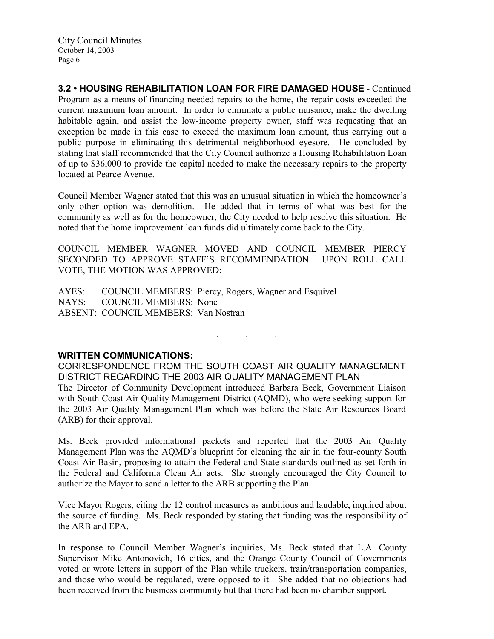City Council Minutes October 14, 2003 Page 6

3.2 • HOUSING REHABILITATION LOAN FOR FIRE DAMAGED HOUSE - Continued Program as a means of financing needed repairs to the home, the repair costs exceeded the current maximum loan amount. In order to eliminate a public nuisance, make the dwelling habitable again, and assist the low-income property owner, staff was requesting that an exception be made in this case to exceed the maximum loan amount, thus carrying out a public purpose in eliminating this detrimental neighborhood eyesore. He concluded by stating that staff recommended that the City Council authorize a Housing Rehabilitation Loan of up to \$36,000 to provide the capital needed to make the necessary repairs to the property located at Pearce Avenue.

Council Member Wagner stated that this was an unusual situation in which the homeowner's only other option was demolition. He added that in terms of what was best for the community as well as for the homeowner, the City needed to help resolve this situation. He noted that the home improvement loan funds did ultimately come back to the City.

COUNCIL MEMBER WAGNER MOVED AND COUNCIL MEMBER PIERCY SECONDED TO APPROVE STAFF'S RECOMMENDATION. UPON ROLL CALL VOTE, THE MOTION WAS APPROVED:

AYES: COUNCIL MEMBERS: Piercy, Rogers, Wagner and Esquivel NAYS: COUNCIL MEMBERS: None ABSENT: COUNCIL MEMBERS: Van Nostran

### WRITTEN COMMUNICATIONS:

CORRESPONDENCE FROM THE SOUTH COAST AIR QUALITY MANAGEMENT DISTRICT REGARDING THE 2003 AIR QUALITY MANAGEMENT PLAN The Director of Community Development introduced Barbara Beck, Government Liaison with South Coast Air Quality Management District (AQMD), who were seeking support for the 2003 Air Quality Management Plan which was before the State Air Resources Board (ARB) for their approval.

. . .

Ms. Beck provided informational packets and reported that the 2003 Air Quality Management Plan was the AQMD's blueprint for cleaning the air in the four-county South Coast Air Basin, proposing to attain the Federal and State standards outlined as set forth in the Federal and California Clean Air acts. She strongly encouraged the City Council to authorize the Mayor to send a letter to the ARB supporting the Plan.

Vice Mayor Rogers, citing the 12 control measures as ambitious and laudable, inquired about the source of funding. Ms. Beck responded by stating that funding was the responsibility of the ARB and EPA.

In response to Council Member Wagner's inquiries, Ms. Beck stated that L.A. County Supervisor Mike Antonovich, 16 cities, and the Orange County Council of Governments voted or wrote letters in support of the Plan while truckers, train/transportation companies, and those who would be regulated, were opposed to it. She added that no objections had been received from the business community but that there had been no chamber support.